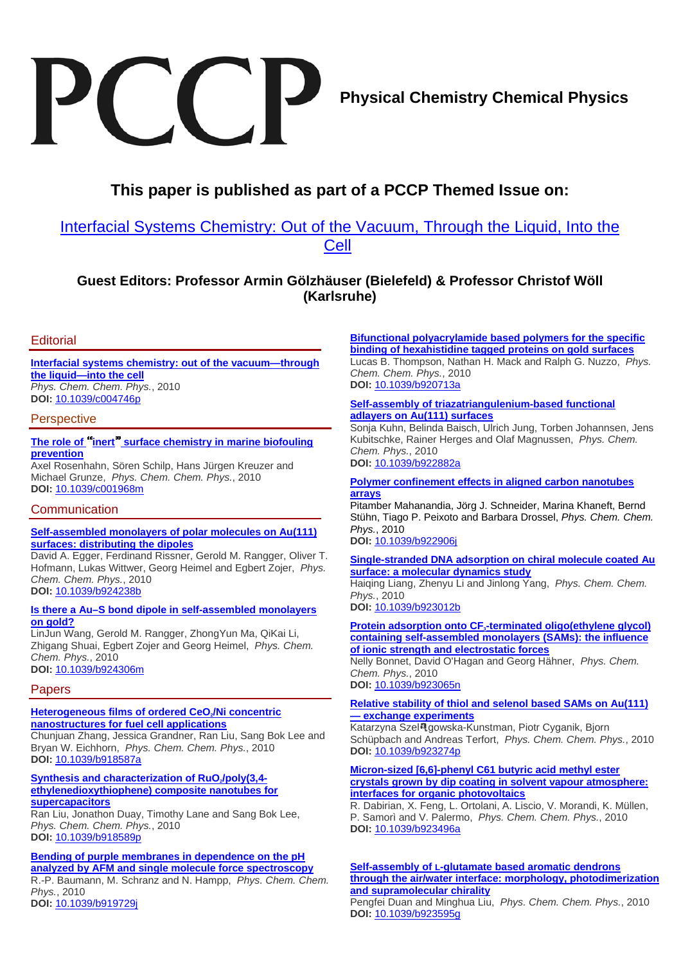

# **Physical Chemistry Chemical Physics**

# **This paper is published as part of a PCCP Themed Issue on:**

# [Interfacial Systems Chemistry: Out of the Vacuum, Through the Liquid, Into the](http://www.rsc.org/Publishing/Journals/CP/article.asp?JournalCode=CP&SubYear=2010&type=Issue&Issue=17)  [Cell](http://www.rsc.org/Publishing/Journals/CP/article.asp?JournalCode=CP&SubYear=2010&type=Issue&Issue=17)

# **Guest Editors: Professor Armin Gölzhäuser (Bielefeld) & Professor Christof Wöll (Karlsruhe)**

# **Editorial**

## **[Interfacial systems chemistry: out of the vacuum—through](http://www.rsc.org/Publishing/Journals/CP/article.asp?doi=c004746p)  [the liquid—into the cell](http://www.rsc.org/Publishing/Journals/CP/article.asp?doi=c004746p)**

*Phys. Chem. Chem. Phys.*, 2010 **DOI:** [10.1039/c004746p](http://www.rsc.org/Publishing/Journals/CP/article.asp?doi=c004746p)

# **Perspective**

#### **The role of inert surface chemistry in marine biofouling [prevention](http://www.rsc.org/Publishing/Journals/CP/article.asp?doi=c001968m)**

[Ax](http://www.rsc.org/Publishing/Journals/CP/article.asp?doi=c001968m)el Rosenhahn, Sören Schilp, Hans Jürgen Kreuzer and Michael Grunze, *Phys. Chem. Chem. Phys.*, 2010 **DOI:** [10.1039/c001968m](http://www.rsc.org/Publishing/Journals/CP/article.asp?doi=c001968m)

# **Communication**

#### **[Self-assembled monolayers of polar molecules on Au\(111\)](http://www.rsc.org/Publishing/Journals/CP/article.asp?doi=b924238b)  [surfaces: distributing the dipoles](http://www.rsc.org/Publishing/Journals/CP/article.asp?doi=b924238b)**

David A. Egger, Ferdinand Rissner, Gerold M. Rangger, Oliver T. Hofmann, Lukas Wittwer, Georg Heimel and Egbert Zojer, *Phys. Chem. Chem. Phys.*, 2010 **DOI:** [10.1039/b924238b](http://www.rsc.org/Publishing/Journals/CP/article.asp?doi=b924238b)

#### **[Is there a Au–S bond dipole in self-assembled monolayers](http://www.rsc.org/Publishing/Journals/CP/article.asp?doi=b924306m)  [on gold?](http://www.rsc.org/Publishing/Journals/CP/article.asp?doi=b924306m)**

LinJun Wang, Gerold M. Rangger, ZhongYun Ma, QiKai Li, Zhigang Shuai, Egbert Zojer and Georg Heimel, *Phys. Chem. Chem. Phys.*, 2010 **DOI:** [10.1039/b924306m](http://www.rsc.org/Publishing/Journals/CP/article.asp?doi=b924306m)

# Papers

#### **Heterogeneous films of ordered CeO<sub>2</sub>/Ni concentric [nanostructures for fuel cell applications](http://www.rsc.org/Publishing/Journals/CP/article.asp?doi=b918587a)**

Chunjuan Zhang, Jessica Grandner, Ran Liu, Sang Bok Lee and Bryan W. Eichhorn, *Phys. Chem. Chem. Phys.*, 2010 **DOI:** [10.1039/b918587a](http://www.rsc.org/Publishing/Journals/CP/article.asp?doi=b918587a)

#### **Synthesis and characterization of RuO**<sub>2</sub>/poly(3,4**[ethylenedioxythiophene\) composite nanotubes for](http://www.rsc.org/Publishing/Journals/CP/article.asp?doi=b918589p)  [supercapacitors](http://www.rsc.org/Publishing/Journals/CP/article.asp?doi=b918589p)**

Ran Liu, Jonathon Duay, Timothy Lane and Sang Bok Lee, *Phys. Chem. Chem. Phys.*, 2010 **DOI:** [10.1039/b918589p](http://www.rsc.org/Publishing/Journals/CP/article.asp?doi=b918589p)

**[Bending of purple membranes in dependence on the pH](http://www.rsc.org/Publishing/Journals/CP/article.asp?doi=b919729j)  [analyzed by AFM and single molecule force spectroscopy](http://www.rsc.org/Publishing/Journals/CP/article.asp?doi=b919729j)** R.-P. Baumann, M. Schranz and N. Hampp, *Phys. Chem. Chem.* 

*Phys.*, 2010 **DOI:** [10.1039/b919729j](http://www.rsc.org/Publishing/Journals/CP/article.asp?doi=b919729j) **[Bifunctional polyacrylamide based polymers for the specific](http://www.rsc.org/Publishing/Journals/CP/article.asp?doi=b920713a)  [binding of hexahistidine tagged proteins on gold surfaces](http://www.rsc.org/Publishing/Journals/CP/article.asp?doi=b920713a)** Lucas B. Thompson, Nathan H. Mack and Ralph G. Nuzzo, *Phys. Chem. Chem. Phys.*, 2010

**DOI:** [10.1039/b920713a](http://www.rsc.org/Publishing/Journals/CP/article.asp?doi=b920713a) **[Self-assembly of triazatriangulenium-based functional](http://www.rsc.org/Publishing/Journals/CP/article.asp?doi=b922882a)  [adlayers on Au\(111\) surfaces](http://www.rsc.org/Publishing/Journals/CP/article.asp?doi=b922882a)**

Sonja Kuhn, Belinda Baisch, Ulrich Jung, Torben Johannsen, Jens Kubitschke, Rainer Herges and Olaf Magnussen, *Phys. Chem. Chem. Phys.*, 2010 **DOI:** [10.1039/b922882a](http://www.rsc.org/Publishing/Journals/CP/article.asp?doi=b922882a)

**[Polymer confinement effects in aligned carbon nanotubes](http://www.rsc.org/Publishing/Journals/CP/article.asp?doi=b922906j)  [arrays](http://www.rsc.org/Publishing/Journals/CP/article.asp?doi=b922906j)**

Pitamber Mahanandia, Jörg J. Schneider, Marina Khaneft, Bernd Stühn, Tiago P. Peixoto and Barbara Drossel, *Phys. Chem. Chem. Phys.*, 2010

**DOI:** [10.1039/b922906j](http://www.rsc.org/Publishing/Journals/CP/article.asp?doi=b922906j)

#### **[Single-stranded DNA adsorption on chiral molecule coated Au](http://www.rsc.org/Publishing/Journals/CP/article.asp?doi=b923012b)  [surface: a molecular dynamics study](http://www.rsc.org/Publishing/Journals/CP/article.asp?doi=b923012b)**

Haiqing Liang, Zhenyu Li and Jinlong Yang, *Phys. Chem. Chem. Phys.*, 2010

**DOI:** [10.1039/b923012b](http://www.rsc.org/Publishing/Journals/CP/article.asp?doi=b923012b)

**Protein adsorption onto CF<sub>3</sub>-terminated oligo(ethylene glycol) [containing self-assembled monolayers \(SAMs\): the influence](http://www.rsc.org/Publishing/Journals/CP/article.asp?doi=b923065n)  [of ionic strength and electrostatic forces](http://www.rsc.org/Publishing/Journals/CP/article.asp?doi=b923065n)**

Nelly Bonnet, David O'Hagan and Georg Hähner, *Phys. Chem. Chem. Phys.*, 2010 **DOI:** [10.1039/b923065n](http://www.rsc.org/Publishing/Journals/CP/article.asp?doi=b923065n)

#### **[Relative stability of thiol and selenol based SAMs on Au\(111\)](http://www.rsc.org/Publishing/Journals/CP/article.asp?doi=b923274p)  [— exchange experiments](http://www.rsc.org/Publishing/Journals/CP/article.asp?doi=b923274p)**

Katarzyna Szel gowska-Kunstman, Piotr Cyganik, Bjorn Schüpbach and Andreas Terfort, *Phys. Chem. Chem. Phys.*, 2010 **DOI:** [10.1039/b923274p](http://www.rsc.org/Publishing/Journals/CP/article.asp?doi=b923274p)

#### **[Micron-sized \[6,6\]-phenyl C61 butyric acid methyl ester](http://www.rsc.org/Publishing/Journals/CP/article.asp?doi=b923496a)  [crystals grown by dip coating in solvent vapour atmosphere:](http://www.rsc.org/Publishing/Journals/CP/article.asp?doi=b923496a)  [interfaces for organic photovoltaics](http://www.rsc.org/Publishing/Journals/CP/article.asp?doi=b923496a)**

R. Dabirian, X. Feng, L. Ortolani, A. Liscio, V. Morandi, K. Müllen, P. Samorì and V. Palermo, *Phys. Chem. Chem. Phys.*, 2010 **DOI:** [10.1039/b923496a](http://www.rsc.org/Publishing/Journals/CP/article.asp?doi=b923496a)

## **[Self-assembly of L-glutamate based aromatic dendrons](http://www.rsc.org/Publishing/Journals/CP/article.asp?doi=b923595g)  [through the air/water interface: morphology, photodimerization](http://www.rsc.org/Publishing/Journals/CP/article.asp?doi=b923595g)  [and supramolecular chirality](http://www.rsc.org/Publishing/Journals/CP/article.asp?doi=b923595g)**

Pengfei Duan and Minghua Liu, *Phys. Chem. Chem. Phys.*, 2010 **DOI:** [10.1039/b923595g](http://www.rsc.org/Publishing/Journals/CP/article.asp?doi=b923595g)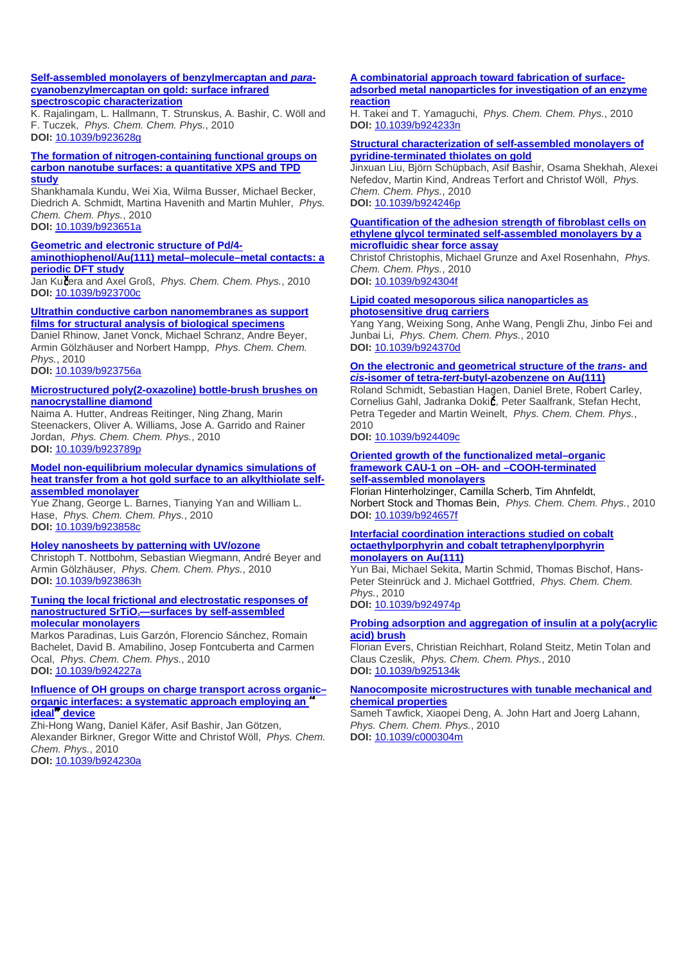#### **[Self-assembled monolayers of benzylmercaptan and](http://www.rsc.org/Publishing/Journals/CP/article.asp?doi=b923628g)** *para***[cyanobenzylmercaptan on gold: surface infrared](http://www.rsc.org/Publishing/Journals/CP/article.asp?doi=b923628g)  [spectroscopic characterization](http://www.rsc.org/Publishing/Journals/CP/article.asp?doi=b923628g)**

K. Rajalingam, L. Hallmann, T. Strunskus, A. Bashir, C. Wöll and F. Tuczek, *Phys. Chem. Chem. Phys.*, 2010 **DOI:** [10.1039/b923628g](http://www.rsc.org/Publishing/Journals/CP/article.asp?doi=b923628g)

#### **[The formation of nitrogen-containing functional groups on](http://www.rsc.org/Publishing/Journals/CP/article.asp?doi=b923651a)  [carbon nanotube surfaces: a quantitative XPS and TPD](http://www.rsc.org/Publishing/Journals/CP/article.asp?doi=b923651a)  [study](http://www.rsc.org/Publishing/Journals/CP/article.asp?doi=b923651a)**

Shankhamala Kundu, Wei Xia, Wilma Busser, Michael Becker, Diedrich A. Schmidt, Martina Havenith and Martin Muhler, *Phys. Chem. Chem. Phys.*, 2010 **DOI:** [10.1039/b923651a](http://www.rsc.org/Publishing/Journals/CP/article.asp?doi=b923651a)

#### **[Geometric and electronic structure of Pd/4-](http://www.rsc.org/Publishing/Journals/CP/article.asp?doi=b923700c)**

**[aminothiophenol/Au\(111\) metal–molecule–metal contacts: a](http://www.rsc.org/Publishing/Journals/CP/article.asp?doi=b923700c)  [periodic DFT study](http://www.rsc.org/Publishing/Journals/CP/article.asp?doi=b923700c)**

Jan Kučera and Axel Groß, Phys. Chem. Chem. Phys., 2010 **DOI:** [10.1039/b923700c](http://www.rsc.org/Publishing/Journals/CP/article.asp?doi=b923700c)

#### **[Ultrathin conductive carbon nanomembranes as support](http://www.rsc.org/Publishing/Journals/CP/article.asp?doi=b923756a)  [films for structural analysis of biological specimens](http://www.rsc.org/Publishing/Journals/CP/article.asp?doi=b923756a)**

Daniel Rhinow, Janet Vonck, Michael Schranz, Andre Beyer, Armin Gölzhäuser and Norbert Hampp, *Phys. Chem. Chem. Phys.*, 2010

**DOI:** [10.1039/b923756a](http://www.rsc.org/Publishing/Journals/CP/article.asp?doi=b923756a)

## **[Microstructured poly\(2-oxazoline\) bottle-brush brushes on](http://www.rsc.org/Publishing/Journals/CP/article.asp?doi=b923789p)  [nanocrystalline diamond](http://www.rsc.org/Publishing/Journals/CP/article.asp?doi=b923789p)**

Naima A. Hutter, Andreas Reitinger, Ning Zhang, Marin Steenackers, Oliver A. Williams, Jose A. Garrido and Rainer Jordan, *Phys. Chem. Chem. Phys.*, 2010 **DOI:** [10.1039/b923789p](http://www.rsc.org/Publishing/Journals/CP/article.asp?doi=b923789p)

#### **[Model non-equilibrium molecular dynamics simulations of](http://www.rsc.org/Publishing/Journals/CP/article.asp?doi=b923858c)  [heat transfer from a hot gold surface to an alkylthiolate self](http://www.rsc.org/Publishing/Journals/CP/article.asp?doi=b923858c)[assembled monolayer](http://www.rsc.org/Publishing/Journals/CP/article.asp?doi=b923858c)**

Yue Zhang, George L. Barnes, Tianying Yan and William L. Hase, *Phys. Chem. Chem. Phys.*, 2010 **DOI:** [10.1039/b923858c](http://www.rsc.org/Publishing/Journals/CP/article.asp?doi=b923858c)

#### **[Holey nanosheets by patterning with UV/ozone](http://www.rsc.org/Publishing/Journals/CP/article.asp?doi=b923863h)**

Christoph T. Nottbohm, Sebastian Wiegmann, André Beyer and Armin Gölzhäuser, *Phys. Chem. Chem. Phys.*, 2010 **DOI:** [10.1039/b923863h](http://www.rsc.org/Publishing/Journals/CP/article.asp?doi=b923863h)

#### **[Tuning the local frictional and electrostatic responses of](http://www.rsc.org/Publishing/Journals/CP/article.asp?doi=b924227a)  nanostructured SrTiO<sub>3</sub>—surfaces by self-assembled [molecular monolayers](http://www.rsc.org/Publishing/Journals/CP/article.asp?doi=b924227a)**

Markos Paradinas, Luis Garzón, Florencio Sánchez, Romain Bachelet, David B. Amabilino, Josep Fontcuberta and Carmen Ocal, *Phys. Chem. Chem. Phys.*, 2010 **DOI:** [10.1039/b924227a](http://www.rsc.org/Publishing/Journals/CP/article.asp?doi=b924227a)

#### **[Influence of OH groups on charge transport across organic–](http://www.rsc.org/Publishing/Journals/CP/article.asp?doi=b924230a) [organic interfaces: a systematic approach employing an](http://www.rsc.org/Publishing/Journals/CP/article.asp?doi=b924230a)  [ideal device](http://www.rsc.org/Publishing/Journals/CP/article.asp?doi=b924230a)**

[Z](http://www.rsc.org/Publishing/Journals/CP/article.asp?doi=b924230a)hi-Hong Wang, Daniel Käfer, Asif Bashir, Jan Götzen, Alexander Birkner, Gregor Witte and Christof Wöll, *Phys. Chem. Chem. Phys.*, 2010 **DOI:** [10.1039/b924230a](http://www.rsc.org/Publishing/Journals/CP/article.asp?doi=b924230a)

#### **[A combinatorial approach toward fabrication of surface](http://www.rsc.org/Publishing/Journals/CP/article.asp?doi=b924233n)[adsorbed metal nanoparticles for investigation of an enzyme](http://www.rsc.org/Publishing/Journals/CP/article.asp?doi=b924233n)  [reaction](http://www.rsc.org/Publishing/Journals/CP/article.asp?doi=b924233n)**

H. Takei and T. Yamaguchi, *Phys. Chem. Chem. Phys.*, 2010 **DOI:** [10.1039/b924233n](http://www.rsc.org/Publishing/Journals/CP/article.asp?doi=b924233n)

#### **[Structural characterization of self-assembled monolayers of](http://www.rsc.org/Publishing/Journals/CP/article.asp?doi=b924246p)  [pyridine-terminated thiolates on gold](http://www.rsc.org/Publishing/Journals/CP/article.asp?doi=b924246p)**

Jinxuan Liu, Björn Schüpbach, Asif Bashir, Osama Shekhah, Alexei Nefedov, Martin Kind, Andreas Terfort and Christof Wöll, *Phys. Chem. Chem. Phys.*, 2010 **DOI:** [10.1039/b924246p](http://www.rsc.org/Publishing/Journals/CP/article.asp?doi=b924246p)

#### **[Quantification of the adhesion strength of fibroblast cells on](http://www.rsc.org/Publishing/Journals/CP/article.asp?doi=b924304f)  [ethylene glycol terminated self-assembled monolayers by a](http://www.rsc.org/Publishing/Journals/CP/article.asp?doi=b924304f)  [microfluidic shear force assay](http://www.rsc.org/Publishing/Journals/CP/article.asp?doi=b924304f)**

Christof Christophis, Michael Grunze and Axel Rosenhahn, *Phys. Chem. Chem. Phys.*, 2010 **DOI:** [10.1039/b924304f](http://www.rsc.org/Publishing/Journals/CP/article.asp?doi=b924304f)

#### **[Lipid coated mesoporous silica nanoparticles as](http://www.rsc.org/Publishing/Journals/CP/article.asp?doi=b924370d)  [photosensitive drug carriers](http://www.rsc.org/Publishing/Journals/CP/article.asp?doi=b924370d)**

Yang Yang, Weixing Song, Anhe Wang, Pengli Zhu, Jinbo Fei and Junbai Li, *Phys. Chem. Chem. Phys.*, 2010 **DOI:** [10.1039/b924370d](http://www.rsc.org/Publishing/Journals/CP/article.asp?doi=b924370d)

#### **[On the electronic and geometrical structure of the](http://www.rsc.org/Publishing/Journals/CP/article.asp?doi=b924409c)** *trans***- and**  *cis***-isomer of tetra-***tert***[-butyl-azobenzene on Au\(111\)](http://www.rsc.org/Publishing/Journals/CP/article.asp?doi=b924409c)**

Roland Schmidt, Sebastian Hagen, Daniel Brete, Robert Carley, Cornelius Gahl, Jadranka Dokić, Peter Saalfrank, Stefan Hecht, Petra Tegeder and Martin Weinelt, *Phys. Chem. Chem. Phys.*, 2010

#### **DOI:** [10.1039/b924409c](http://www.rsc.org/Publishing/Journals/CP/article.asp?doi=b924409c)

#### **[Oriented growth of the functionalized metal–organic](http://www.rsc.org/Publishing/Journals/CP/article.asp?doi=b924657f) [framework CAU-1 on –OH- and –COOH-terminated](http://www.rsc.org/Publishing/Journals/CP/article.asp?doi=b924657f) [self-assembled monolayers](http://www.rsc.org/Publishing/Journals/CP/article.asp?doi=b924657f)**

Florian Hinterholzinger, Camilla Scherb, Tim Ahnfeldt, Norbert Stock and Thomas Bein, *Phys. Chem. Chem. Phys.*, 2010 **DOI:** [10.1039/b924657f](http://www.rsc.org/Publishing/Journals/CP/article.asp?doi=b924657f)

#### **[Interfacial coordination interactions studied on cobalt](http://www.rsc.org/Publishing/Journals/CP/article.asp?doi=b924974p)  [octaethylporphyrin and cobalt tetraphenylporphyrin](http://www.rsc.org/Publishing/Journals/CP/article.asp?doi=b924974p)  [monolayers on Au\(111\)](http://www.rsc.org/Publishing/Journals/CP/article.asp?doi=b924974p)**

Yun Bai, Michael Sekita, Martin Schmid, Thomas Bischof, Hans-Peter Steinrück and J. Michael Gottfried, *Phys. Chem. Chem. Phys.*, 2010

**DOI:** [10.1039/b924974p](http://www.rsc.org/Publishing/Journals/CP/article.asp?doi=b924974p)

#### **[Probing adsorption and aggregation of insulin at a poly\(acrylic](http://www.rsc.org/Publishing/Journals/CP/article.asp?doi=b925134k)  [acid\) brush](http://www.rsc.org/Publishing/Journals/CP/article.asp?doi=b925134k)**

Florian Evers, Christian Reichhart, Roland Steitz, Metin Tolan and Claus Czeslik, *Phys. Chem. Chem. Phys.*, 2010 **DOI:** [10.1039/b925134k](http://www.rsc.org/Publishing/Journals/CP/article.asp?doi=b925134k)

#### **[Nanocomposite microstructures with tunable mechanical and](http://www.rsc.org/Publishing/Journals/CP/article.asp?doi=c000304m)  [chemical properties](http://www.rsc.org/Publishing/Journals/CP/article.asp?doi=c000304m)**

Sameh Tawfick, Xiaopei Deng, A. John Hart and Joerg Lahann, *Phys. Chem. Chem. Phys.*, 2010 **DOI:** [10.1039/c000304m](http://www.rsc.org/Publishing/Journals/CP/article.asp?doi=c000304m)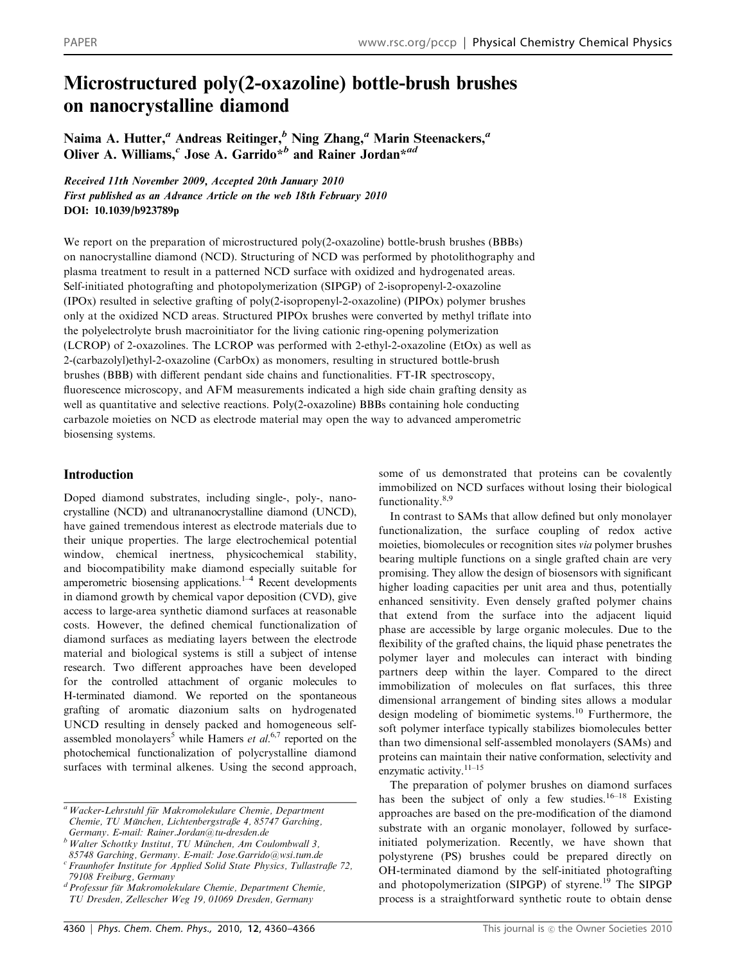# Microstructured poly(2-oxazoline) bottle-brush brushes on nanocrystalline diamond

Naima A. Hutter,<sup>*a*</sup> Andreas Reitinger,<sup>*b*</sup> Ning Zhang,<sup>*a*</sup> Marin Steenackers,<sup>*a*</sup> Oliver A. Williams,<sup>c</sup> Jose A. Garrido<sup>\*b</sup> and Rainer Jordan<sup>\*ad</sup>

Received 11th November 2009, Accepted 20th January 2010 First published as an Advance Article on the web 18th February 2010 DOI: 10.1039/b923789p

We report on the preparation of microstructured poly(2-oxazoline) bottle-brush brushes (BBBs) on nanocrystalline diamond (NCD). Structuring of NCD was performed by photolithography and plasma treatment to result in a patterned NCD surface with oxidized and hydrogenated areas. Self-initiated photografting and photopolymerization (SIPGP) of 2-isopropenyl-2-oxazoline (IPOx) resulted in selective grafting of poly(2-isopropenyl-2-oxazoline) (PIPOx) polymer brushes only at the oxidized NCD areas. Structured PIPOx brushes were converted by methyl triflate into the polyelectrolyte brush macroinitiator for the living cationic ring-opening polymerization (LCROP) of 2-oxazolines. The LCROP was performed with 2-ethyl-2-oxazoline (EtOx) as well as 2-(carbazolyl)ethyl-2-oxazoline (CarbOx) as monomers, resulting in structured bottle-brush brushes (BBB) with different pendant side chains and functionalities. FT-IR spectroscopy, fluorescence microscopy, and AFM measurements indicated a high side chain grafting density as well as quantitative and selective reactions. Poly(2-oxazoline) BBBs containing hole conducting carbazole moieties on NCD as electrode material may open the way to advanced amperometric biosensing systems.

# Introduction

Doped diamond substrates, including single-, poly-, nanocrystalline (NCD) and ultrananocrystalline diamond (UNCD), have gained tremendous interest as electrode materials due to their unique properties. The large electrochemical potential window, chemical inertness, physicochemical stability, and biocompatibility make diamond especially suitable for amperometric biosensing applications. $1-4$  Recent developments in diamond growth by chemical vapor deposition (CVD), give access to large-area synthetic diamond surfaces at reasonable costs. However, the defined chemical functionalization of diamond surfaces as mediating layers between the electrode material and biological systems is still a subject of intense research. Two different approaches have been developed for the controlled attachment of organic molecules to H-terminated diamond. We reported on the spontaneous grafting of aromatic diazonium salts on hydrogenated UNCD resulting in densely packed and homogeneous selfassembled monolayers<sup>5</sup> while Hamers et  $al$ <sup>6,7</sup> reported on the photochemical functionalization of polycrystalline diamond surfaces with terminal alkenes. Using the second approach,

- $b$  Walter Schottky Institut, TU München, Am Coulombwall 3,
- 85748 Garching, Germany. E-mail: Jose.Garrido@wsi.tum.de <sup>c</sup> Fraunhofer Institute for Applied Solid State Physics, Tullastraße 72,

some of us demonstrated that proteins can be covalently immobilized on NCD surfaces without losing their biological functionality.8,9

In contrast to SAMs that allow defined but only monolayer functionalization, the surface coupling of redox active moieties, biomolecules or recognition sites via polymer brushes bearing multiple functions on a single grafted chain are very promising. They allow the design of biosensors with significant higher loading capacities per unit area and thus, potentially enhanced sensitivity. Even densely grafted polymer chains that extend from the surface into the adjacent liquid phase are accessible by large organic molecules. Due to the flexibility of the grafted chains, the liquid phase penetrates the polymer layer and molecules can interact with binding partners deep within the layer. Compared to the direct immobilization of molecules on flat surfaces, this three dimensional arrangement of binding sites allows a modular design modeling of biomimetic systems. <sup>10</sup> Furthermore, the soft polymer interface typically stabilizes biomolecules better than two dimensional self-assembled monolayers (SAMs) and proteins can maintain their native conformation, selectivity and enzymatic activity.<sup>11-15</sup>

The preparation of polymer brushes on diamond surfaces has been the subject of only a few studies.<sup>16–18</sup> Existing approaches are based on the pre-modification of the diamond substrate with an organic monolayer, followed by surfaceinitiated polymerization. Recently, we have shown that polystyrene (PS) brushes could be prepared directly on OH-terminated diamond by the self-initiated photografting and photopolymerization (SIPGP) of styrene.<sup>19</sup> The SIPGP process is a straightforward synthetic route to obtain dense

<sup>&</sup>lt;sup>a</sup> Wacker-Lehrstuhl für Makromolekulare Chemie, Department Chemie, TU München, Lichtenbergstraße 4, 85747 Garching, Germany. E-mail: Rainer.Jordan@tu-dresden.de

<sup>79108</sup> Freiburg, Germany

<sup>&</sup>lt;sup>d</sup> Professur für Makromolekulare Chemie, Department Chemie, TU Dresden, Zellescher Weg 19, 01069 Dresden, Germany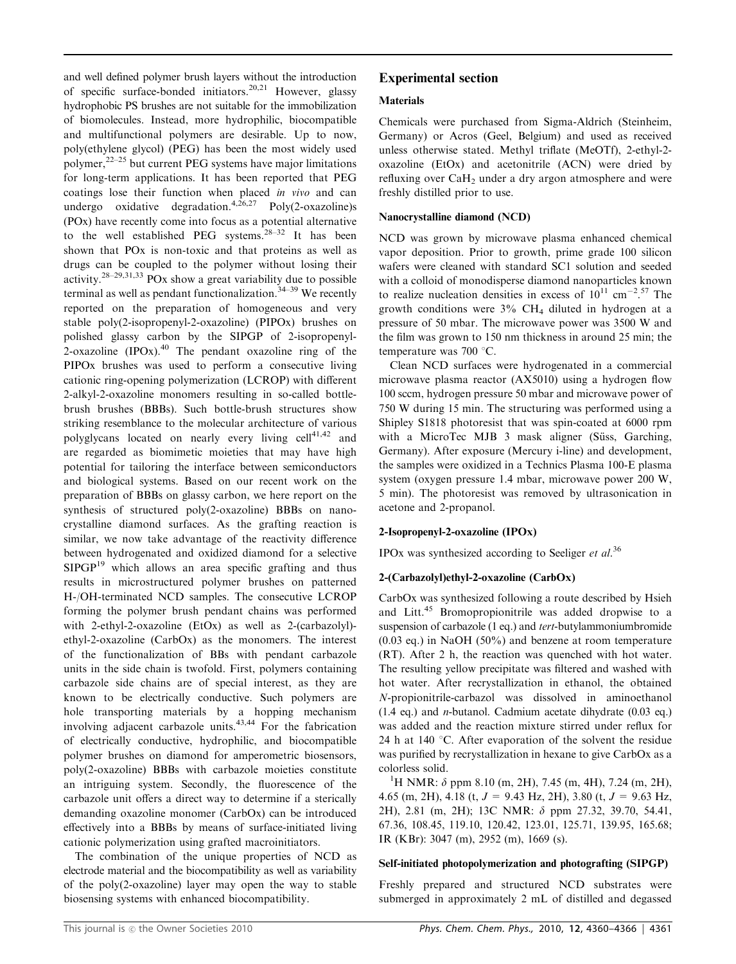and well defined polymer brush layers without the introduction of specific surface-bonded initiators.20,21 However, glassy hydrophobic PS brushes are not suitable for the immobilization of biomolecules. Instead, more hydrophilic, biocompatible and multifunctional polymers are desirable. Up to now, poly(ethylene glycol) (PEG) has been the most widely used polymer, $2^{2-25}$  but current PEG systems have major limitations for long-term applications. It has been reported that PEG coatings lose their function when placed in vivo and can undergo oxidative degradation.<sup>4,26,27</sup> Poly(2-oxazoline)s (POx) have recently come into focus as a potential alternative to the well established PEG systems. $28-32$  It has been shown that POx is non-toxic and that proteins as well as drugs can be coupled to the polymer without losing their activity.<sup>28–29,31,33</sup> POx show a great variability due to possible terminal as well as pendant functionalization.<sup>34–39</sup> We recently reported on the preparation of homogeneous and very stable poly(2-isopropenyl-2-oxazoline) (PIPOx) brushes on polished glassy carbon by the SIPGP of 2-isopropenyl-2-oxazoline  $(IPOx)$ <sup>40</sup> The pendant oxazoline ring of the PIPOx brushes was used to perform a consecutive living cationic ring-opening polymerization (LCROP) with different 2-alkyl-2-oxazoline monomers resulting in so-called bottlebrush brushes (BBBs). Such bottle-brush structures show striking resemblance to the molecular architecture of various polyglycans located on nearly every living cell<sup>41,42</sup> and are regarded as biomimetic moieties that may have high potential for tailoring the interface between semiconductors and biological systems. Based on our recent work on the preparation of BBBs on glassy carbon, we here report on the synthesis of structured poly(2-oxazoline) BBBs on nanocrystalline diamond surfaces. As the grafting reaction is similar, we now take advantage of the reactivity difference between hydrogenated and oxidized diamond for a selective  $SIPGP<sup>19</sup>$  which allows an area specific grafting and thus results in microstructured polymer brushes on patterned H-/OH-terminated NCD samples. The consecutive LCROP forming the polymer brush pendant chains was performed with 2-ethyl-2-oxazoline (EtOx) as well as 2-(carbazolyl) ethyl-2-oxazoline (CarbOx) as the monomers. The interest of the functionalization of BBs with pendant carbazole units in the side chain is twofold. First, polymers containing carbazole side chains are of special interest, as they are known to be electrically conductive. Such polymers are hole transporting materials by a hopping mechanism involving adjacent carbazole units.43,44 For the fabrication of electrically conductive, hydrophilic, and biocompatible polymer brushes on diamond for amperometric biosensors, poly(2-oxazoline) BBBs with carbazole moieties constitute an intriguing system. Secondly, the fluorescence of the carbazole unit offers a direct way to determine if a sterically demanding oxazoline monomer (CarbOx) can be introduced effectively into a BBBs by means of surface-initiated living cationic polymerization using grafted macroinitiators.

The combination of the unique properties of NCD as electrode material and the biocompatibility as well as variability of the poly(2-oxazoline) layer may open the way to stable biosensing systems with enhanced biocompatibility.

# Experimental section

#### Materials

Chemicals were purchased from Sigma-Aldrich (Steinheim, Germany) or Acros (Geel, Belgium) and used as received unless otherwise stated. Methyl triflate (MeOTf), 2-ethyl-2 oxazoline (EtOx) and acetonitrile (ACN) were dried by refluxing over CaH<sub>2</sub> under a dry argon atmosphere and were freshly distilled prior to use.

#### Nanocrystalline diamond (NCD)

NCD was grown by microwave plasma enhanced chemical vapor deposition. Prior to growth, prime grade 100 silicon wafers were cleaned with standard SC1 solution and seeded with a colloid of monodisperse diamond nanoparticles known to realize nucleation densities in excess of  $10^{11}$  cm<sup>-2</sup>.<sup>57</sup> The growth conditions were  $3\%$  CH<sub>4</sub> diluted in hydrogen at a pressure of 50 mbar. The microwave power was 3500 W and the film was grown to 150 nm thickness in around 25 min; the temperature was  $700^{\circ}$ C.

Clean NCD surfaces were hydrogenated in a commercial microwave plasma reactor (AX5010) using a hydrogen flow 100 sccm, hydrogen pressure 50 mbar and microwave power of 750 W during 15 min. The structuring was performed using a Shipley S1818 photoresist that was spin-coated at 6000 rpm with a MicroTec MJB 3 mask aligner (Süss, Garching, Germany). After exposure (Mercury i-line) and development, the samples were oxidized in a Technics Plasma 100-E plasma system (oxygen pressure 1.4 mbar, microwave power 200 W, 5 min). The photoresist was removed by ultrasonication in acetone and 2-propanol.

# 2-Isopropenyl-2-oxazoline (IPOx)

IPOx was synthesized according to Seeliger et  $al$ <sup>36</sup>

#### 2-(Carbazolyl)ethyl-2-oxazoline (CarbOx)

CarbOx was synthesized following a route described by Hsieh and Litt.45 Bromopropionitrile was added dropwise to a suspension of carbazole (1 eq.) and tert-butylammoniumbromide  $(0.03 \text{ eq.})$  in NaOH  $(50\%)$  and benzene at room temperature (RT). After 2 h, the reaction was quenched with hot water. The resulting yellow precipitate was filtered and washed with hot water. After recrystallization in ethanol, the obtained N-propionitrile-carbazol was dissolved in aminoethanol (1.4 eq.) and n-butanol. Cadmium acetate dihydrate (0.03 eq.) was added and the reaction mixture stirred under reflux for 24 h at 140  $\degree$ C. After evaporation of the solvent the residue was purified by recrystallization in hexane to give CarbOx as a colorless solid.

<sup>1</sup>H NMR:  $\delta$  ppm 8.10 (m, 2H), 7.45 (m, 4H), 7.24 (m, 2H), 4.65 (m, 2H), 4.18 (t,  $J = 9.43$  Hz, 2H), 3.80 (t,  $J = 9.63$  Hz, 2H), 2.81 (m, 2H); 13C NMR: d ppm 27.32, 39.70, 54.41, 67.36, 108.45, 119.10, 120.42, 123.01, 125.71, 139.95, 165.68; IR (KBr): 3047 (m), 2952 (m), 1669 (s).

#### Self-initiated photopolymerization and photografting (SIPGP)

Freshly prepared and structured NCD substrates were submerged in approximately 2 mL of distilled and degassed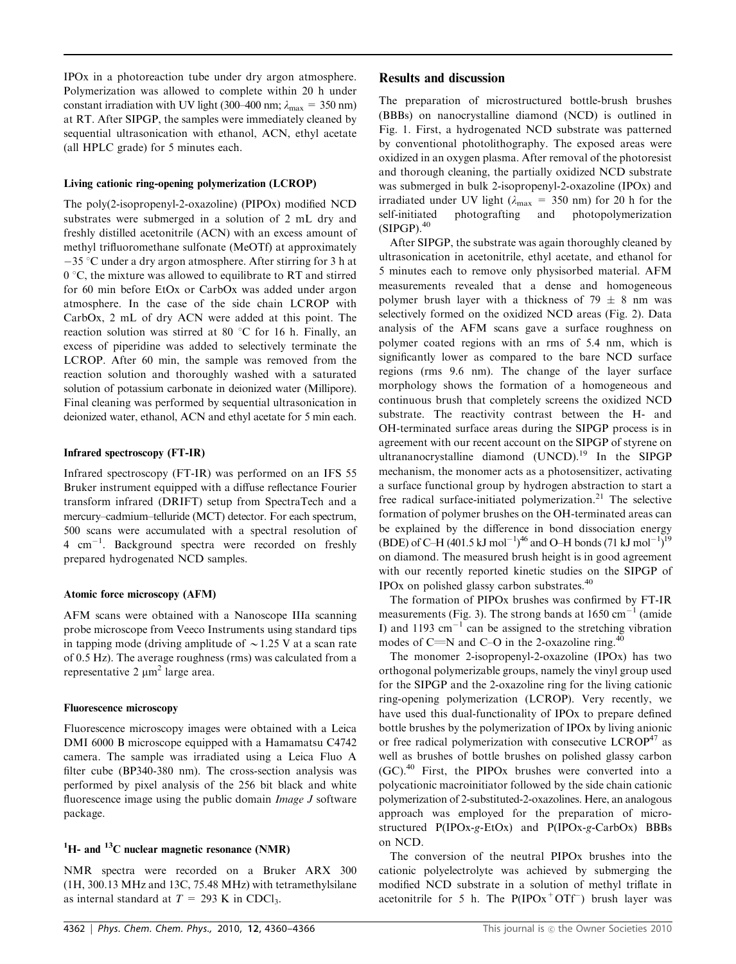IPOx in a photoreaction tube under dry argon atmosphere. Polymerization was allowed to complete within 20 h under constant irradiation with UV light (300–400 nm;  $\lambda_{\text{max}} = 350 \text{ nm}$ ) at RT. After SIPGP, the samples were immediately cleaned by sequential ultrasonication with ethanol, ACN, ethyl acetate (all HPLC grade) for 5 minutes each.

#### Living cationic ring-opening polymerization (LCROP)

The poly(2-isopropenyl-2-oxazoline) (PIPOx) modified NCD substrates were submerged in a solution of 2 mL dry and freshly distilled acetonitrile (ACN) with an excess amount of methyl trifluoromethane sulfonate (MeOTf) at approximately  $-35$  °C under a dry argon atmosphere. After stirring for 3 h at  $0^{\circ}$ C, the mixture was allowed to equilibrate to RT and stirred for 60 min before EtOx or CarbOx was added under argon atmosphere. In the case of the side chain LCROP with CarbOx, 2 mL of dry ACN were added at this point. The reaction solution was stirred at 80  $^{\circ}$ C for 16 h. Finally, an excess of piperidine was added to selectively terminate the LCROP. After 60 min, the sample was removed from the reaction solution and thoroughly washed with a saturated solution of potassium carbonate in deionized water (Millipore). Final cleaning was performed by sequential ultrasonication in deionized water, ethanol, ACN and ethyl acetate for 5 min each.

# Infrared spectroscopy (FT-IR)

Infrared spectroscopy (FT-IR) was performed on an IFS 55 Bruker instrument equipped with a diffuse reflectance Fourier transform infrared (DRIFT) setup from SpectraTech and a mercury–cadmium–telluride (MCT) detector. For each spectrum, 500 scans were accumulated with a spectral resolution of  $4 \text{ cm}^{-1}$ . Background spectra were recorded on freshly prepared hydrogenated NCD samples.

# Atomic force microscopy (AFM)

AFM scans were obtained with a Nanoscope IIIa scanning probe microscope from Veeco Instruments using standard tips in tapping mode (driving amplitude of  $\sim$  1.25 V at a scan rate of 0.5 Hz). The average roughness (rms) was calculated from a representative  $2 \mu m^2$  large area.

# Fluorescence microscopy

Fluorescence microscopy images were obtained with a Leica DMI 6000 B microscope equipped with a Hamamatsu C4742 camera. The sample was irradiated using a Leica Fluo A filter cube (BP340-380 nm). The cross-section analysis was performed by pixel analysis of the 256 bit black and white fluorescence image using the public domain *Image J* software package.

# ${}^{1}$ H- and  ${}^{13}$ C nuclear magnetic resonance (NMR)

NMR spectra were recorded on a Bruker ARX 300 (1H, 300.13 MHz and 13C, 75.48 MHz) with tetramethylsilane as internal standard at  $T = 293$  K in CDCl<sub>3</sub>.

The preparation of microstructured bottle-brush brushes (BBBs) on nanocrystalline diamond (NCD) is outlined in Fig. 1. First, a hydrogenated NCD substrate was patterned by conventional photolithography. The exposed areas were oxidized in an oxygen plasma. After removal of the photoresist and thorough cleaning, the partially oxidized NCD substrate was submerged in bulk 2-isopropenyl-2-oxazoline (IPOx) and irradiated under UV light ( $\lambda_{\text{max}}$  = 350 nm) for 20 h for the self-initiated photografting and photopolymerization  $(SIPGP).$ <sup>40</sup>

After SIPGP, the substrate was again thoroughly cleaned by ultrasonication in acetonitrile, ethyl acetate, and ethanol for 5 minutes each to remove only physisorbed material. AFM measurements revealed that a dense and homogeneous polymer brush layer with a thickness of 79  $\pm$  8 nm was selectively formed on the oxidized NCD areas (Fig. 2). Data analysis of the AFM scans gave a surface roughness on polymer coated regions with an rms of 5.4 nm, which is significantly lower as compared to the bare NCD surface regions (rms 9.6 nm). The change of the layer surface morphology shows the formation of a homogeneous and continuous brush that completely screens the oxidized NCD substrate. The reactivity contrast between the H- and OH-terminated surface areas during the SIPGP process is in agreement with our recent account on the SIPGP of styrene on ultrananocrystalline diamond (UNCD).<sup>19</sup> In the SIPGP mechanism, the monomer acts as a photosensitizer, activating a surface functional group by hydrogen abstraction to start a free radical surface-initiated polymerization.<sup>21</sup> The selective formation of polymer brushes on the OH-terminated areas can be explained by the difference in bond dissociation energy (BDE) of C–H (401.5 kJ mol<sup>-1</sup>)<sup>46</sup> and O–H bonds (71 kJ mol<sup>-1</sup>)<sup>19</sup> on diamond. The measured brush height is in good agreement with our recently reported kinetic studies on the SIPGP of IPOx on polished glassy carbon substrates.<sup>40</sup>

The formation of PIPOx brushes was confirmed by FT-IR measurements (Fig. 3). The strong bands at  $1650 \text{ cm}^{-1}$  (amide I) and 1193  $\text{cm}^{-1}$  can be assigned to the stretching vibration modes of C $=N$  and C–O in the 2-oxazoline ring.<sup>40</sup>

The monomer 2-isopropenyl-2-oxazoline (IPOx) has two orthogonal polymerizable groups, namely the vinyl group used for the SIPGP and the 2-oxazoline ring for the living cationic ring-opening polymerization (LCROP). Very recently, we have used this dual-functionality of IPOx to prepare defined bottle brushes by the polymerization of IPOx by living anionic or free radical polymerization with consecutive LCROP<sup>47</sup> as well as brushes of bottle brushes on polished glassy carbon (GC).<sup>40</sup> First, the PIPOx brushes were converted into a polycationic macroinitiator followed by the side chain cationic polymerization of 2-substituted-2-oxazolines. Here, an analogous approach was employed for the preparation of microstructured P(IPOx-g-EtOx) and P(IPOx-g-CarbOx) BBBs on NCD.

The conversion of the neutral PIPOx brushes into the cationic polyelectrolyte was achieved by submerging the modified NCD substrate in a solution of methyl triflate in acetonitrile for 5 h. The  $P(IPOx<sup>+</sup> OTf<sup>-</sup>)$  brush layer was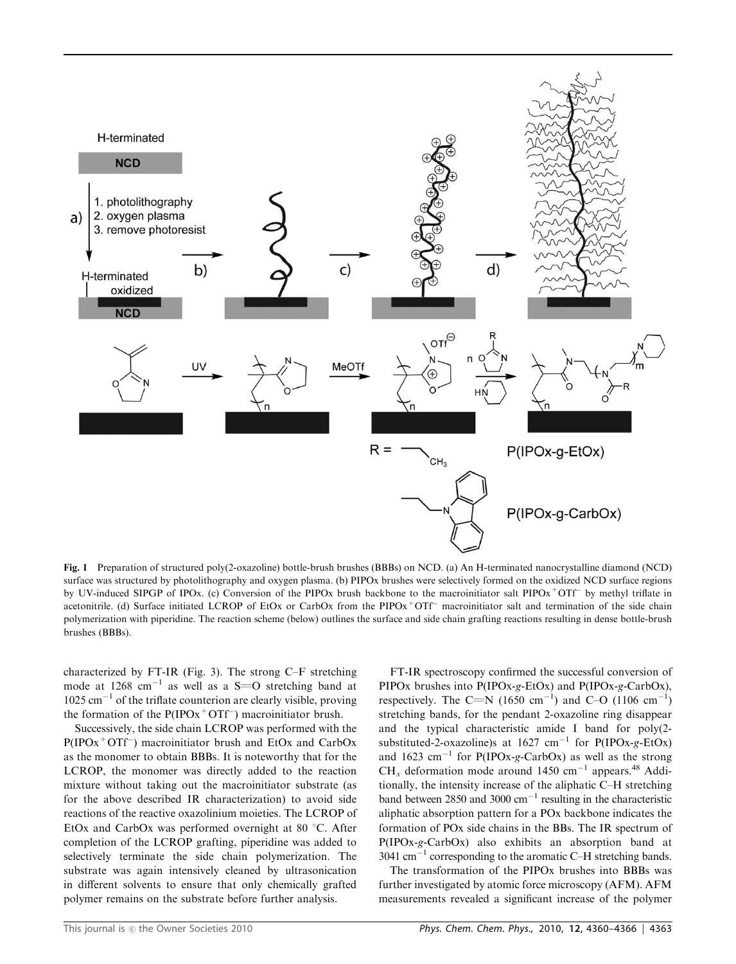

Fig. 1 Preparation of structured poly(2-oxazoline) bottle-brush brushes (BBBs) on NCD. (a) An H-terminated nanocrystalline diamond (NCD) surface was structured by photolithography and oxygen plasma. (b) PIPOx brushes were selectively formed on the oxidized NCD surface regions by UV-induced SIPGP of IPOx. (c) Conversion of the PIPOx brush backbone to the macroinitiator salt PIPOx<sup>+</sup>OTf<sup>-</sup> by methyl triflate in acetonitrile. (d) Surface initiated LCROP of EtOx or CarbOx from the PIPOx<sup>+</sup>OTf<sup>-</sup> macroinitiator salt and termination of the side chain polymerization with piperidine. The reaction scheme (below) outlines the surface and side chain grafting reactions resulting in dense bottle-brush brushes (BBBs).

characterized by FT-IR (Fig. 3). The strong C–F stretching mode at 1268 cm<sup>-1</sup> as well as a  $S=O$  stretching band at  $1025 \text{ cm}^{-1}$  of the triflate counterion are clearly visible, proving the formation of the  $P(IPOx<sup>+</sup> OTf<sup>-</sup>)$  macroinitiator brush.

Successively, the side chain LCROP was performed with the  $P(IPOx+OTT)$  macroinitiator brush and EtOx and CarbOx as the monomer to obtain BBBs. It is noteworthy that for the LCROP, the monomer was directly added to the reaction mixture without taking out the macroinitiator substrate (as for the above described IR characterization) to avoid side reactions of the reactive oxazolinium moieties. The LCROP of EtOx and CarbOx was performed overnight at 80  $^{\circ}$ C. After completion of the LCROP grafting, piperidine was added to selectively terminate the side chain polymerization. The substrate was again intensively cleaned by ultrasonication in different solvents to ensure that only chemically grafted polymer remains on the substrate before further analysis.

FT-IR spectroscopy confirmed the successful conversion of PIPOx brushes into P(IPOx-g-EtOx) and P(IPOx-g-CarbOx), respectively. The C=N (1650 cm<sup>-1</sup>) and C-O (1106 cm<sup>-1</sup>) stretching bands, for the pendant 2-oxazoline ring disappear and the typical characteristic amide I band for poly(2 substituted-2-oxazoline)s at  $1627 \text{ cm}^{-1}$  for P(IPOx-g-EtOx) and 1623 cm<sup>-1</sup> for P(IPOx-g-CarbOx) as well as the strong  $CH_x$  deformation mode around 1450 cm<sup>-1</sup> appears.<sup>48</sup> Additionally, the intensity increase of the aliphatic C–H stretching band between 2850 and 3000  $cm^{-1}$  resulting in the characteristic aliphatic absorption pattern for a POx backbone indicates the formation of POx side chains in the BBs. The IR spectrum of P(IPOx-g-CarbOx) also exhibits an absorption band at  $3041$  cm<sup>-1</sup> corresponding to the aromatic C-H stretching bands.

The transformation of the PIPOx brushes into BBBs was further investigated by atomic force microscopy (AFM). AFM measurements revealed a significant increase of the polymer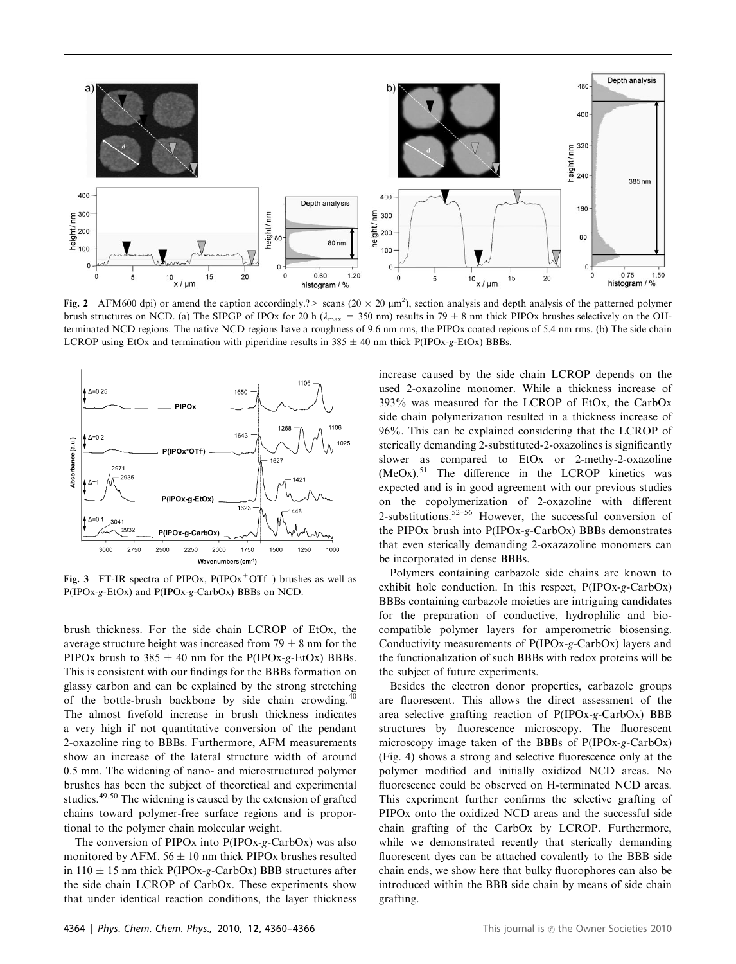

Fig. 2 AFM600 dpi) or amend the caption accordingly.?> scans (20  $\times$  20  $\mu$ m<sup>2</sup>), section analysis and depth analysis of the patterned polymer brush structures on NCD. (a) The SIPGP of IPOx for 20 h ( $\lambda_{\text{max}} = 350 \text{ nm}$ ) results in 79  $\pm$  8 nm thick PIPOx brushes selectively on the OHterminated NCD regions. The native NCD regions have a roughness of 9.6 nm rms, the PIPOx coated regions of 5.4 nm rms. (b) The side chain LCROP using EtOx and termination with piperidine results in  $385 \pm 40$  nm thick P(IPOx-g-EtOx) BBBs.



Fig. 3 FT-IR spectra of PIPOx,  $P(1POx<sup>+</sup> OTf<sup>-</sup>)$  brushes as well as P(IPOx-g-EtOx) and P(IPOx-g-CarbOx) BBBs on NCD.

brush thickness. For the side chain LCROP of EtOx, the average structure height was increased from  $79 \pm 8$  nm for the PIPOx brush to  $385 \pm 40$  nm for the P(IPOx-g-EtOx) BBBs. This is consistent with our findings for the BBBs formation on glassy carbon and can be explained by the strong stretching of the bottle-brush backbone by side chain crowding.<sup>40</sup> The almost fivefold increase in brush thickness indicates a very high if not quantitative conversion of the pendant 2-oxazoline ring to BBBs. Furthermore, AFM measurements show an increase of the lateral structure width of around 0.5 mm. The widening of nano- and microstructured polymer brushes has been the subject of theoretical and experimental studies.<sup>49,50</sup> The widening is caused by the extension of grafted chains toward polymer-free surface regions and is proportional to the polymer chain molecular weight.

The conversion of PIPOx into P(IPOx-g-CarbOx) was also monitored by AFM.  $56 \pm 10$  nm thick PIPOx brushes resulted in  $110 \pm 15$  nm thick P(IPOx-g-CarbOx) BBB structures after the side chain LCROP of CarbOx. These experiments show that under identical reaction conditions, the layer thickness increase caused by the side chain LCROP depends on the used 2-oxazoline monomer. While a thickness increase of 393% was measured for the LCROP of EtOx, the CarbOx side chain polymerization resulted in a thickness increase of 96%. This can be explained considering that the LCROP of sterically demanding 2-substituted-2-oxazolines is significantly slower as compared to EtOx or 2-methy-2-oxazoline  $(MeOx).$ <sup>51</sup> The difference in the LCROP kinetics was expected and is in good agreement with our previous studies on the copolymerization of 2-oxazoline with different 2-substitutions. $52-56$  However, the successful conversion of the PIPOx brush into P(IPOx-g-CarbOx) BBBs demonstrates that even sterically demanding 2-oxazazoline monomers can be incorporated in dense BBBs.

Polymers containing carbazole side chains are known to exhibit hole conduction. In this respect, P(IPOx-g-CarbOx) BBBs containing carbazole moieties are intriguing candidates for the preparation of conductive, hydrophilic and biocompatible polymer layers for amperometric biosensing. Conductivity measurements of P(IPOx-g-CarbOx) layers and the functionalization of such BBBs with redox proteins will be the subject of future experiments.

Besides the electron donor properties, carbazole groups are fluorescent. This allows the direct assessment of the area selective grafting reaction of P(IPOx-g-CarbOx) BBB structures by fluorescence microscopy. The fluorescent microscopy image taken of the BBBs of P(IPOx-g-CarbOx) (Fig. 4) shows a strong and selective fluorescence only at the polymer modified and initially oxidized NCD areas. No fluorescence could be observed on H-terminated NCD areas. This experiment further confirms the selective grafting of PIPOx onto the oxidized NCD areas and the successful side chain grafting of the CarbOx by LCROP. Furthermore, while we demonstrated recently that sterically demanding fluorescent dyes can be attached covalently to the BBB side chain ends, we show here that bulky fluorophores can also be introduced within the BBB side chain by means of side chain grafting.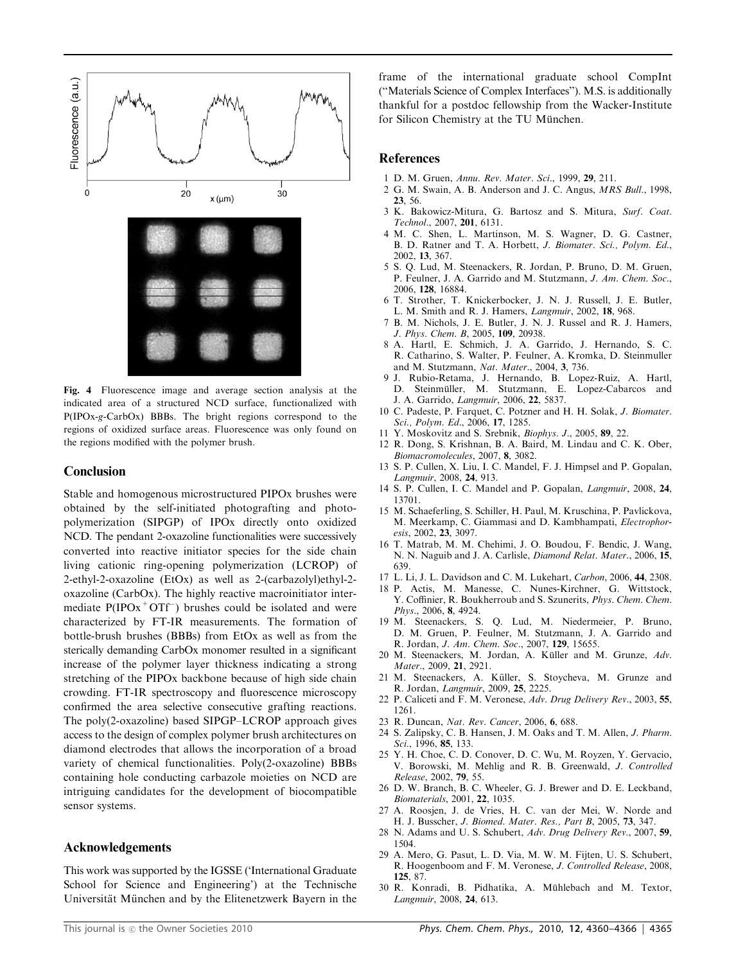

Fig. 4 Fluorescence image and average section analysis at the indicated area of a structured NCD surface, functionalized with P(IPOx-g-CarbOx) BBBs. The bright regions correspond to the regions of oxidized surface areas. Fluorescence was only found on the regions modified with the polymer brush.

## Conclusion

Stable and homogenous microstructured PIPOx brushes were obtained by the self-initiated photografting and photopolymerization (SIPGP) of IPOx directly onto oxidized NCD. The pendant 2-oxazoline functionalities were successively converted into reactive initiator species for the side chain living cationic ring-opening polymerization (LCROP) of 2-ethyl-2-oxazoline (EtOx) as well as 2-(carbazolyl)ethyl-2 oxazoline (CarbOx). The highly reactive macroinitiator intermediate  $P(IPOx + OTf^{-})$  brushes could be isolated and were characterized by FT-IR measurements. The formation of bottle-brush brushes (BBBs) from EtOx as well as from the sterically demanding CarbOx monomer resulted in a significant increase of the polymer layer thickness indicating a strong stretching of the PIPOx backbone because of high side chain crowding. FT-IR spectroscopy and fluorescence microscopy confirmed the area selective consecutive grafting reactions. The poly(2-oxazoline) based SIPGP–LCROP approach gives access to the design of complex polymer brush architectures on diamond electrodes that allows the incorporation of a broad variety of chemical functionalities. Poly(2-oxazoline) BBBs containing hole conducting carbazole moieties on NCD are intriguing candidates for the development of biocompatible sensor systems.

#### Acknowledgements

This work was supported by the IGSSE ('International Graduate School for Science and Engineering') at the Technische Universität München and by the Elitenetzwerk Bayern in the

frame of the international graduate school CompInt (''Materials Science of Complex Interfaces''). M.S. is additionally thankful for a postdoc fellowship from the Wacker-Institute for Silicon Chemistry at the TU München.

#### **References**

- 1 D. M. Gruen, Annu. Rev. Mater. Sci., 1999, 29, 211.
- 2 G. M. Swain, A. B. Anderson and J. C. Angus, MRS Bull., 1998, 23, 56.
- 3 K. Bakowicz-Mitura, G. Bartosz and S. Mitura, Surf. Coat. Technol., 2007, 201, 6131.
- 4 M. C. Shen, L. Martinson, M. S. Wagner, D. G. Castner, B. D. Ratner and T. A. Horbett, J. Biomater. Sci., Polym. Ed., 2002, 13, 367.
- 5 S. Q. Lud, M. Steenackers, R. Jordan, P. Bruno, D. M. Gruen, P. Feulner, J. A. Garrido and M. Stutzmann, J. Am. Chem. Soc., 2006, 128, 16884.
- 6 T. Strother, T. Knickerbocker, J. N. J. Russell, J. E. Butler, L. M. Smith and R. J. Hamers, Langmuir, 2002, 18, 968.
- 7 B. M. Nichols, J. E. Butler, J. N. J. Russel and R. J. Hamers, J. Phys. Chem. B, 2005, 109, 20938.
- 8 A. Hartl, E. Schmich, J. A. Garrido, J. Hernando, S. C. R. Catharino, S. Walter, P. Feulner, A. Kromka, D. Steinmuller and M. Stutzmann, Nat. Mater., 2004, 3, 736.
- 9 J. Rubio-Retama, J. Hernando, B. Lopez-Ruiz, A. Hartl, D. Steinmüller, M. Stutzmann, E. Lopez-Cabarcos and J. A. Garrido, Langmuir, 2006, 22, 5837.
- 10 C. Padeste, P. Farquet, C. Potzner and H. H. Solak, J. Biomater. Sci., Polym. Ed., 2006, 17, 1285.
- 11 Y. Moskovitz and S. Srebnik, Biophys. J., 2005, 89, 22.
- 12 R. Dong, S. Krishnan, B. A. Baird, M. Lindau and C. K. Ober, Biomacromolecules, 2007, 8, 3082.
- 13 S. P. Cullen, X. Liu, I. C. Mandel, F. J. Himpsel and P. Gopalan, Langmuir, 2008, 24, 913.
- 14 S. P. Cullen, I. C. Mandel and P. Gopalan, Langmuir, 2008, 24, 13701.
- 15 M. Schaeferling, S. Schiller, H. Paul, M. Kruschina, P. Pavlickova, M. Meerkamp, C. Giammasi and D. Kambhampati, Electrophoresis, 2002, 23, 3097.
- 16 T. Matrab, M. M. Chehimi, J. O. Boudou, F. Bendic, J. Wang, N. N. Naguib and J. A. Carlisle, Diamond Relat. Mater., 2006, 15, 639.
- 17 L. Li, J. L. Davidson and C. M. Lukehart, Carbon, 2006, 44, 2308.
- 18 P. Actis, M. Manesse, C. Nunes-Kirchner, G. Wittstock, Y. Coffinier, R. Boukherroub and S. Szunerits, Phys. Chem. Chem. Phys., 2006, 8, 4924.
- 19 M. Steenackers, S. Q. Lud, M. Niedermeier, P. Bruno, D. M. Gruen, P. Feulner, M. Stutzmann, J. A. Garrido and R. Jordan, J. Am. Chem. Soc., 2007, 129, 15655.
- 20 M. Steenackers, M. Jordan, A. Küller and M. Grunze, Adv. Mater., 2009, 21, 2921.
- 21 M. Steenackers, A. Küller, S. Stoycheva, M. Grunze and R. Jordan, Langmuir, 2009, 25, 2225.
- 22 P. Caliceti and F. M. Veronese, Adv. Drug Delivery Rev., 2003, 55, 1261.
- 23 R. Duncan, Nat. Rev. Cancer, 2006, 6, 688.
- 24 S. Zalipsky, C. B. Hansen, J. M. Oaks and T. M. Allen, J. Pharm. Sci., 1996, **85**, 133.
- 25 Y. H. Choe, C. D. Conover, D. C. Wu, M. Royzen, Y. Gervacio, V. Borowski, M. Mehlig and R. B. Greenwald, J. Controlled Release, 2002, 79, 55.
- 26 D. W. Branch, B. C. Wheeler, G. J. Brewer and D. E. Leckband, Biomaterials, 2001, 22, 1035.
- 27 A. Roosjen, J. de Vries, H. C. van der Mei, W. Norde and H. J. Busscher, J. Biomed. Mater. Res., Part B, 2005, 73, 347.
- 28 N. Adams and U. S. Schubert, Adv. Drug Delivery Rev., 2007, 59, 1504.
- 29 A. Mero, G. Pasut, L. D. Via, M. W. M. Fijten, U. S. Schubert, R. Hoogenboom and F. M. Veronese, J. Controlled Release, 2008, 125, 87.
- 30 R. Konradi, B. Pidhatika, A. Mühlebach and M. Textor, Langmuir, 2008, 24, 613.